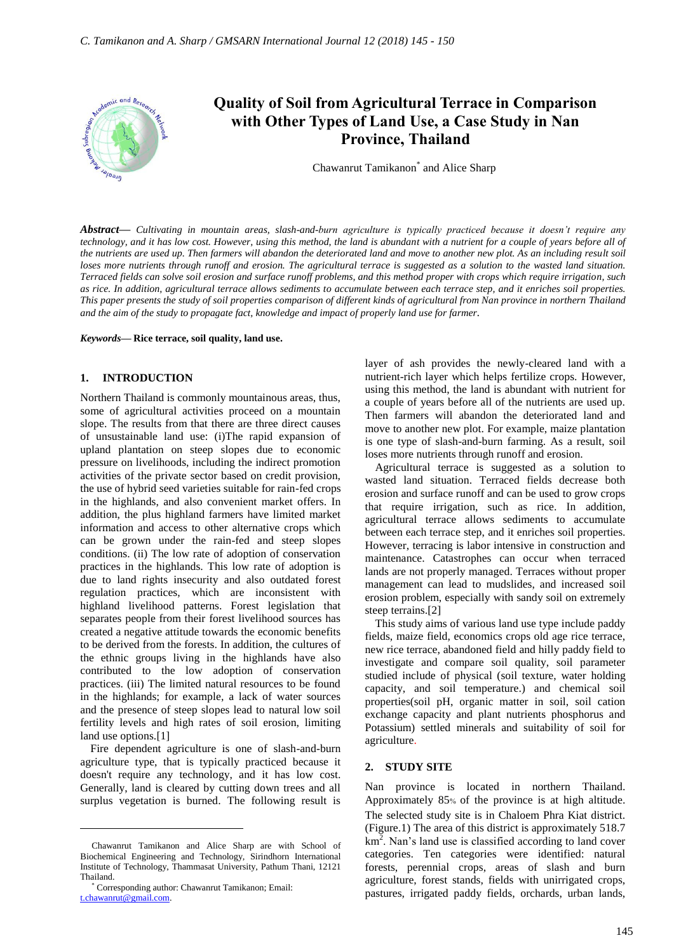

*Abstract***—** *Cultivating in mountain areas, slash-and-burn agriculture is typically practiced because it doesn't require any technology, and it has low cost. However, using this method, the land is abundant with a nutrient for a couple of years before all of the nutrients are used up. Then farmers will abandon the deteriorated land and move to another new plot. As an including result soil loses more nutrients through runoff and erosion. The agricultural terrace is suggested as a solution to the wasted land situation. Terraced fields can solve soil erosion and surface runoff problems, and this method proper with crops which require irrigation, such as rice. In addition, agricultural terrace allows sediments to accumulate between each terrace step, and it enriches soil properties. This paper presents the study of soil properties comparison of different kinds of agricultural from Nan province in northern Thailand and the aim of the study to propagate fact, knowledge and impact of properly land use for farmer.*

#### *Keywords***— Rice terrace, soil quality, land use.**

# **1. INTRODUCTION**

Northern Thailand is commonly mountainous areas, thus, some of agricultural activities proceed on a mountain slope. The results from that there are three direct causes of unsustainable land use: (i)The rapid expansion of upland plantation on steep slopes due to economic pressure on livelihoods, including the indirect promotion activities of the private sector based on credit provision, the use of hybrid seed varieties suitable for rain-fed crops in the highlands, and also convenient market offers. In addition, the plus highland farmers have limited market information and access to other alternative crops which can be grown under the rain-fed and steep slopes conditions. (ii) The low rate of adoption of conservation practices in the highlands. This low rate of adoption is due to land rights insecurity and also outdated forest regulation practices, which are inconsistent with highland livelihood patterns. Forest legislation that separates people from their forest livelihood sources has created a negative attitude towards the economic benefits to be derived from the forests. In addition, the cultures of the ethnic groups living in the highlands have also contributed to the low adoption of conservation practices. (iii) The limited natural resources to be found in the highlands; for example, a lack of water sources and the presence of steep slopes lead to natural low soil fertility levels and high rates of soil erosion, limiting land use options.<sup>[1]</sup>

Fire dependent agriculture is one of slash-and-burn agriculture type, that is typically practiced because it doesn't require any technology, and it has low cost. Generally, land is cleared by cutting down trees and all surplus vegetation is burned. The following result is

 $\overline{a}$ 

layer of ash provides the newly-cleared land with a nutrient-rich layer which helps fertilize crops. However, using this method, the land is abundant with nutrient for a couple of years before all of the nutrients are used up. Then farmers will abandon the deteriorated land and move to another new plot. For example, maize plantation is one type of slash-and-burn farming. As a result, soil loses more nutrients through runoff and erosion.

Agricultural terrace is suggested as a solution to wasted land situation. Terraced fields decrease both erosion and surface runoff and can be used to grow crops that require irrigation, such as rice. In addition, agricultural terrace allows sediments to accumulate between each terrace step, and it enriches soil properties. However, terracing is labor intensive in construction and maintenance. Catastrophes can occur when terraced lands are not properly managed. Terraces without proper management can lead to mudslides, and increased soil erosion problem, especially with sandy soil on extremely steep terrains.[2]

This study aims of various land use type include paddy fields, maize field, economics crops old age rice terrace, new rice terrace, abandoned field and hilly paddy field to investigate and compare soil quality, soil parameter studied include of physical (soil texture, water holding capacity, and soil temperature.) and chemical soil properties(soil pH, organic matter in soil, soil cation exchange capacity and plant nutrients phosphorus and Potassium) settled minerals and suitability of soil for agriculture.

### **2. STUDY SITE**

Nan province is located in northern Thailand. Approximately 85% of the province is at high altitude. The selected study site is in Chaloem Phra Kiat district. (Figure.1) The area of this district is approximately 518.7  $km<sup>2</sup>$ . Nan's land use is classified according to land cover categories. Ten categories were identified: natural forests, perennial crops, areas of slash and burn agriculture, forest stands, fields with unirrigated crops, pastures, irrigated paddy fields, orchards, urban lands,

Chawanrut Tamikanon and Alice Sharp are with School of Biochemical Engineering and Technology, Sirindhorn International Institute of Technology, Thammasat University, Pathum Thani, 12121 Thailand.

<sup>\*</sup> Corresponding author: Chawanrut Tamikanon; Email: [t.chawanrut@gmail.com.](mailto:t.chawanrut@gmail.com)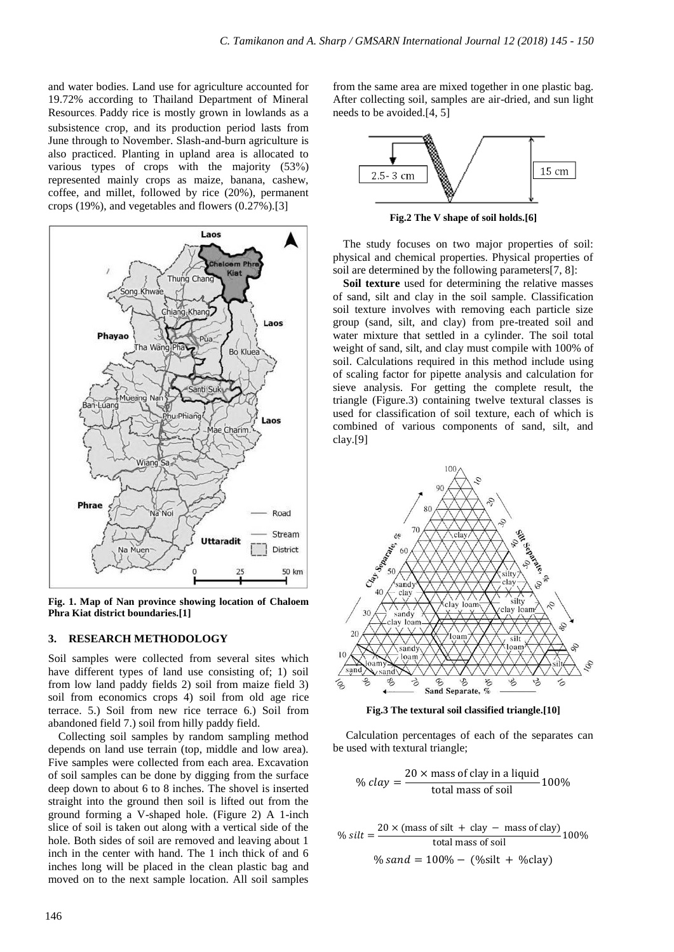and water bodies. Land use for agriculture accounted for 19.72% according to Thailand Department of Mineral Resources. Paddy rice is mostly grown in lowlands as a subsistence crop, and its production period lasts from June through to November. Slash-and-burn agriculture is also practiced. Planting in upland area is allocated to various types of crops with the majority (53%) represented mainly crops as maize, banana, cashew, coffee, and millet, followed by rice (20%), permanent crops (19%), and vegetables and flowers (0.27%).[3]



**Fig. 1. Map of Nan province showing location of Chaloem Phra Kiat district boundaries.[1]**

## **3. RESEARCH METHODOLOGY**

Soil samples were collected from several sites which have different types of land use consisting of; 1) soil from low land paddy fields 2) soil from maize field 3) soil from economics crops 4) soil from old age rice terrace. 5.) Soil from new rice terrace 6.) Soil from abandoned field 7.) soil from hilly paddy field.

Collecting soil samples by random sampling method depends on land use terrain (top, middle and low area). Five samples were collected from each area. Excavation of soil samples can be done by digging from the surface deep down to about 6 to 8 inches. The shovel is inserted straight into the ground then soil is lifted out from the ground forming a V-shaped hole. (Figure 2) A 1-inch slice of soil is taken out along with a vertical side of the hole. Both sides of soil are removed and leaving about 1 inch in the center with hand. The 1 inch thick of and 6 inches long will be placed in the clean plastic bag and moved on to the next sample location. All soil samples from the same area are mixed together in one plastic bag. After collecting soil, samples are air-dried, and sun light needs to be avoided.[4, 5]



**Fig.2 The V shape of soil holds.[6]**

The study focuses on two major properties of soil: physical and chemical properties. Physical properties of soil are determined by the following parameters[7, 8]:

Soil texture used for determining the relative masses of sand, silt and clay in the soil sample. Classification soil texture involves with removing each particle size group (sand, silt, and clay) from pre-treated soil and water mixture that settled in a cylinder. The soil total weight of sand, silt, and clay must compile with 100% of soil. Calculations required in this method include using of scaling factor for pipette analysis and calculation for sieve analysis. For getting the complete result, the triangle (Figure.3) containing twelve textural classes is used for classification of soil texture, each of which is combined of various components of sand, silt, and clay.[9]



**Fig.3 The textural soil classified triangle.[10]**

Calculation percentages of each of the separates can be used with textural triangle;

% 
$$
clay = \frac{20 \times \text{mass of clay in a liquid}}{\text{total mass of soil}} 100\%
$$

% silt =  $\frac{2}{3}$ total mass of soil % sand =  $100\% - (\% \text{silt} + \% \text{clay})$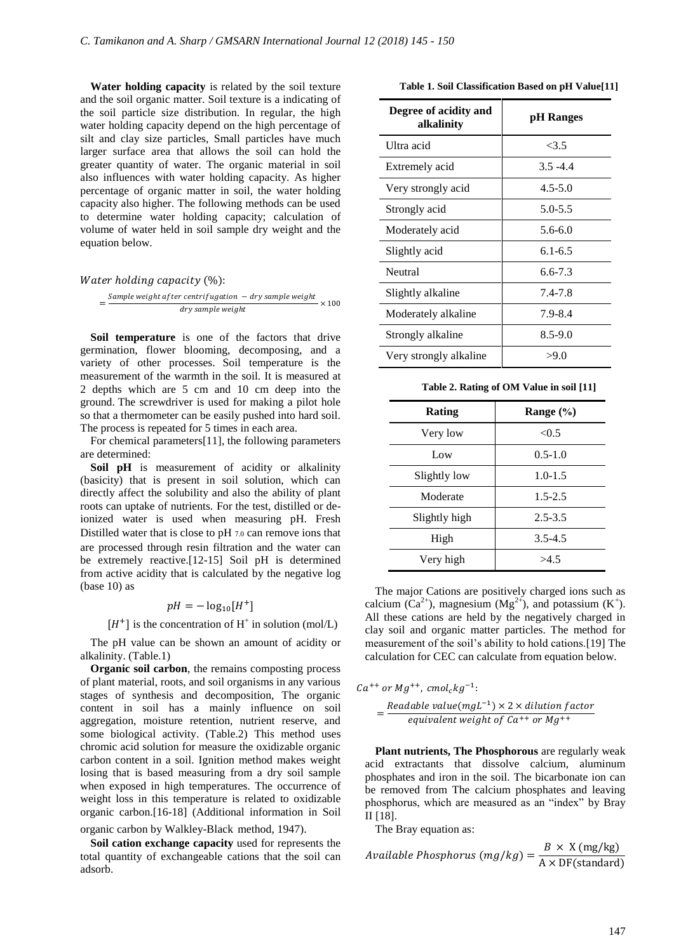**Water holding capacity** is related by the soil texture and the soil organic matter. Soil texture is a indicating of the soil particle size distribution. In regular, the high water holding capacity depend on the high percentage of silt and clay size particles, Small particles have much larger surface area that allows the soil can hold the greater quantity of water. The organic material in soil also influences with water holding capacity. As higher percentage of organic matter in soil, the water holding capacity also higher. The following methods can be used to determine water holding capacity; calculation of volume of water held in soil sample dry weight and the equation below.

#### Water holding capacity  $(\%)$ :

$$
=\frac{Sample\ weight\ after\ centrifugation\ -\ dry\ sample\ weight}{dry\ sample\ weight} \times 100
$$

**Soil temperature** is one of the factors that drive germination, flower blooming, decomposing, and a variety of other processes. Soil temperature is the measurement of the warmth in the soil. It is measured at 2 depths which are 5 cm and 10 cm deep into the ground. The screwdriver is used for making a pilot hole so that a thermometer can be easily pushed into hard soil. The process is repeated for 5 times in each area.

For chemical parameters[11], the following parameters are determined:

Soil pH is measurement of acidity or alkalinity (basicity) that is present in soil solution, which can directly affect the solubility and also the ability of plant roots can uptake of nutrients. For the test, distilled or deionized water is used when measuring pH. Fresh Distilled water that is close to pH 7.0 can remove ions that are processed through resin filtration and the water can be extremely reactive.[12-15] Soil pH is determined from active acidity that is calculated by the negative log (base 10) as

# $pH = -\log_{10}[H^+]$

# $[H^+]$  is the concentration of  $H^+$  in solution (mol/L)

The pH value can be shown an amount of acidity or alkalinity. (Table.1)

**Organic soil carbon**, the remains composting process of plant material, roots, and soil organisms in any various stages of synthesis and decomposition, The organic content in soil has a mainly influence on soil aggregation, moisture retention, nutrient reserve, and some biological activity. (Table.2) This method uses chromic acid solution for measure the oxidizable organic carbon content in a soil. Ignition method makes weight losing that is based measuring from a dry soil sample when exposed in high temperatures. The occurrence of weight loss in this temperature is related to oxidizable organic carbon.[16-18] (Additional information in Soil

organic carbon by Walkley-Black method, 1947).

**Soil cation exchange capacity** used for represents the total quantity of exchangeable cations that the soil can adsorb.

|  | Table 1. Soil Classification Based on pH Value[11] |  |  |  |
|--|----------------------------------------------------|--|--|--|
|--|----------------------------------------------------|--|--|--|

| Degree of acidity and<br>alkalinity | pH Ranges   |
|-------------------------------------|-------------|
| Ultra acid                          | <3.5        |
| Extremely acid                      | $3.5 - 4.4$ |
| Very strongly acid                  | $4.5 - 5.0$ |
| Strongly acid                       | $5.0 - 5.5$ |
| Moderately acid                     | $5.6 - 6.0$ |
| Slightly acid                       | $6.1 - 6.5$ |
| Neutral                             | $6.6 - 7.3$ |
| Slightly alkaline                   | 7.4-7.8     |
| Moderately alkaline                 | 7.9-8.4     |
| Strongly alkaline                   | $8.5 - 9.0$ |
| Very strongly alkaline              | >9.0        |

**Table 2. Rating of OM Value in soil [11]**

| <b>Rating</b> | Range (%)   |
|---------------|-------------|
| Very low      | < 0.5       |
| Low           | $0.5 - 1.0$ |
| Slightly low  | $1.0 - 1.5$ |
| Moderate      | $1.5 - 2.5$ |
| Slightly high | $2.5 - 3.5$ |
| High          | $3.5 - 4.5$ |
| Very high     | >4.5        |

The major Cations are positively charged ions such as calcium  $(Ca^{2+})$ , magnesium  $(Mg^{2+})$ , and potassium  $(K^+)$ . All these cations are held by the negatively charged in clay soil and organic matter particles. The method for measurement of the soil's ability to hold cations.[19] The calculation for CEC can calculate from equation below.

 $Ca^{++}$  or  $Mg^{++}$ , cmol<sub>c</sub>kg<sup>-1</sup>:  $=\frac{Readable value(mgL^{-1})}{1 + 1 + 1 + 1}$ 

equivalent weight of  $Ca^{++}$  or  $Mg^{++}$ 

**Plant nutrients, The Phosphorous** are regularly weak acid extractants that dissolve calcium, aluminum phosphates and iron in the soil. The bicarbonate ion can be removed from The calcium phosphates and leaving phosphorus, which are measured as an "index" by Bray II [18].

The Bray equation as:

*Available Phosphorus* 
$$
(mg/kg) = \frac{B \times X \text{ (mg/kg)}}{A \times DF \text{ (standard)}}
$$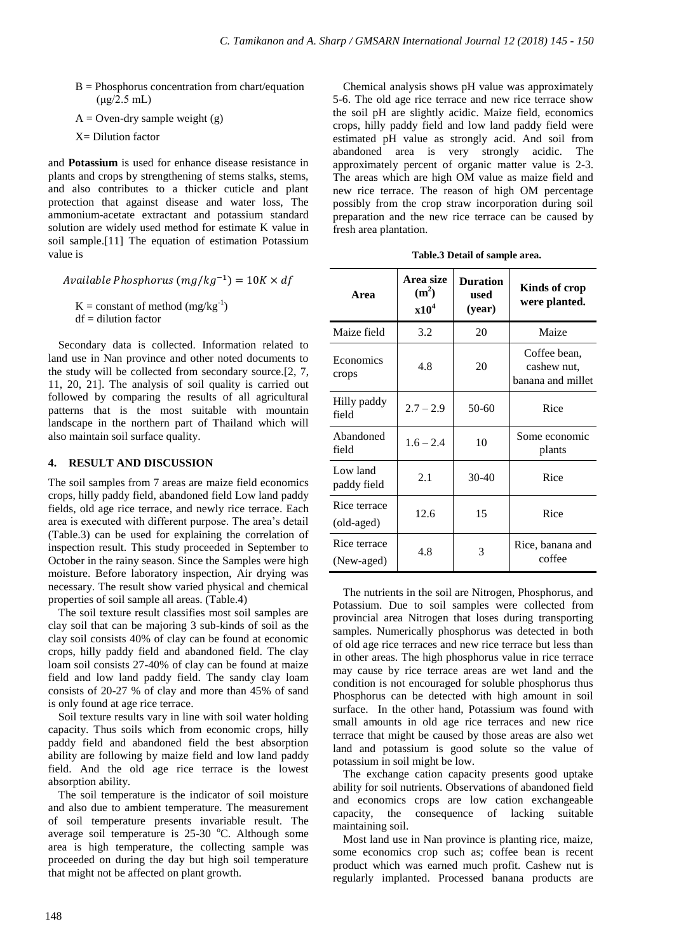- $B = Phosphorus concentration from chart/equation$  $(\mu g/2.5 \text{ mL})$
- $A =$  Oven-dry sample weight (g)
- $X =$  Dilution factor

and **Potassium** is used for enhance disease resistance in plants and crops by strengthening of stems stalks, stems, and also contributes to a thicker cuticle and plant protection that against disease and water loss, The ammonium-acetate extractant and potassium standard solution are widely used method for estimate K value in soil sample.[11] The equation of estimation Potassium value is

Available Phosphorus (m $g/kg^{-1})$ 

 $K = constant of method (mg/kg<sup>-1</sup>)$  $df = dilution factor$ 

Secondary data is collected. Information related to land use in Nan province and other noted documents to the study will be collected from secondary source.[2, 7, 11, 20, 21]. The analysis of soil quality is carried out followed by comparing the results of all agricultural patterns that is the most suitable with mountain landscape in the northern part of Thailand which will also maintain soil surface quality.

## **4. RESULT AND DISCUSSION**

The soil samples from 7 areas are maize field economics crops, hilly paddy field, abandoned field Low land paddy fields, old age rice terrace, and newly rice terrace. Each area is executed with different purpose. The area's detail (Table.3) can be used for explaining the correlation of inspection result. This study proceeded in September to October in the rainy season. Since the Samples were high moisture. Before laboratory inspection, Air drying was necessary. The result show varied physical and chemical properties of soil sample all areas. (Table.4)

The soil texture result classifies most soil samples are clay soil that can be majoring 3 sub-kinds of soil as the clay soil consists 40% of clay can be found at economic crops, hilly paddy field and abandoned field. The clay loam soil consists 27-40% of clay can be found at maize field and low land paddy field. The sandy clay loam consists of 20-27 % of clay and more than 45% of sand is only found at age rice terrace.

Soil texture results vary in line with soil water holding capacity. Thus soils which from economic crops, hilly paddy field and abandoned field the best absorption ability are following by maize field and low land paddy field. And the old age rice terrace is the lowest absorption ability.

The soil temperature is the indicator of soil moisture and also due to ambient temperature. The measurement of soil temperature presents invariable result. The average soil temperature is  $25-30$  °C. Although some area is high temperature, the collecting sample was proceeded on during the day but high soil temperature that might not be affected on plant growth.

Chemical analysis shows pH value was approximately 5-6. The old age rice terrace and new rice terrace show the soil pH are slightly acidic. Maize field, economics crops, hilly paddy field and low land paddy field were estimated pH value as strongly acid. And soil from abandoned area is very strongly acidic. The approximately percent of organic matter value is 2-3. The areas which are high OM value as maize field and new rice terrace. The reason of high OM percentage possibly from the crop straw incorporation during soil preparation and the new rice terrace can be caused by fresh area plantation.

**Table.3 Detail of sample area.** 

| Area                       | Area size<br>$(m^2)$<br>x10 <sup>4</sup> | <b>Duration</b><br>used<br>(year) | Kinds of crop<br>were planted.                   |
|----------------------------|------------------------------------------|-----------------------------------|--------------------------------------------------|
| Maize field                | 3.2                                      | 20                                | Maize                                            |
| Economics<br>crops         | 4.8                                      | 20                                | Coffee bean.<br>cashew nut.<br>banana and millet |
| Hilly paddy<br>field       | $2.7 - 2.9$                              | $50-60$                           | Rice                                             |
| Abandoned<br>field         | $1.6 - 2.4$                              | 10                                | Some economic<br>plants                          |
| Low land<br>paddy field    | 2.1                                      | $30-40$                           | Rice                                             |
| Rice terrace<br>(old-aged) | 12.6                                     | 15                                | Rice                                             |
| Rice terrace<br>(New-aged) | 4.8                                      | 3                                 | Rice, banana and<br>coffee                       |

The nutrients in the soil are Nitrogen, Phosphorus, and Potassium. Due to soil samples were collected from provincial area Nitrogen that loses during transporting samples. Numerically phosphorus was detected in both of old age rice terraces and new rice terrace but less than in other areas. The high phosphorus value in rice terrace may cause by rice terrace areas are wet land and the condition is not encouraged for soluble phosphorus thus Phosphorus can be detected with high amount in soil surface. In the other hand, Potassium was found with small amounts in old age rice terraces and new rice terrace that might be caused by those areas are also wet land and potassium is good solute so the value of potassium in soil might be low.

The exchange cation capacity presents good uptake ability for soil nutrients. Observations of abandoned field and economics crops are low cation exchangeable capacity, the consequence of lacking suitable maintaining soil.

Most land use in Nan province is planting rice, maize, some economics crop such as; coffee bean is recent product which was earned much profit. Cashew nut is regularly implanted. Processed banana products are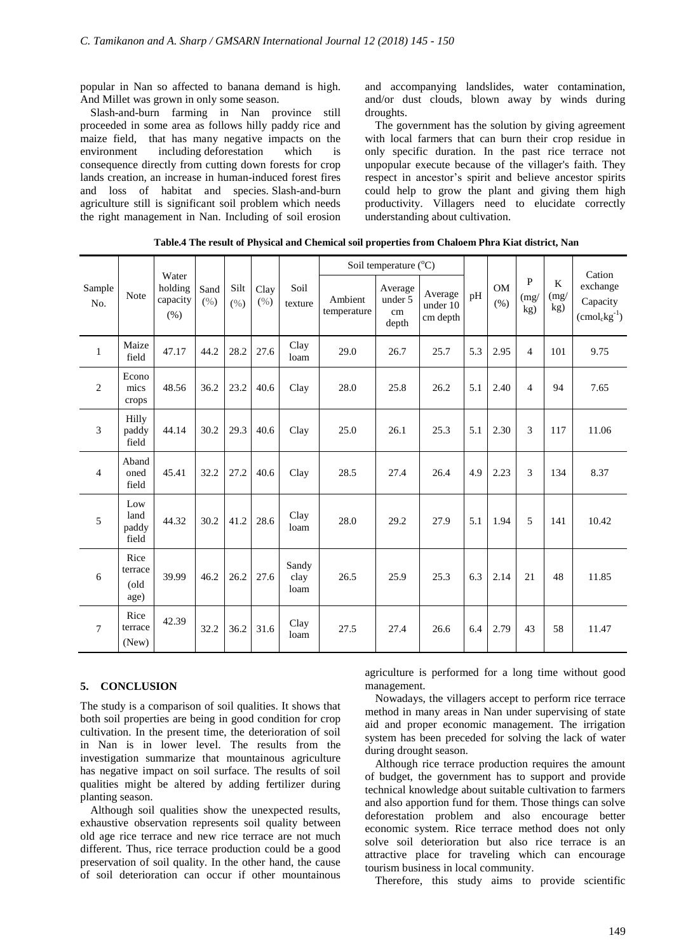popular in Nan so affected to banana demand is high. And Millet was grown in only some season.

Slash-and-burn farming in Nan province still proceeded in some area as follows hilly paddy rice and maize field, that has many negative impacts on the environment including deforestation which is consequence directly from cutting down forests for crop lands creation, an increase in human-induced forest fires and loss of habitat and species. Slash-and-burn agriculture still is significant soil problem which needs the right management in Nan. Including of soil erosion and accompanying landslides, water contamination, and/or dust clouds, blown away by winds during droughts.

The government has the solution by giving agreement with local farmers that can burn their crop residue in only specific duration. In the past rice terrace not unpopular execute because of the villager's faith. They respect in ancestor's spirit and believe ancestor spirits could help to grow the plant and giving them high productivity. Villagers need to elucidate correctly understanding about cultivation.

**Table.4 The result of Physical and Chemical soil properties from Chaloem Phra Kiat district, Nan**

|               | Note                            | Water<br>holding<br>capacity<br>(% ) | Sand<br>(%) | Silt<br>(%) | Clay<br>$(\% )$ | Soil<br>texture       | Soil temperature $(^{\circ}C)$ |                                   |                                 |     |               |                  | Cation           |                                                        |
|---------------|---------------------------------|--------------------------------------|-------------|-------------|-----------------|-----------------------|--------------------------------|-----------------------------------|---------------------------------|-----|---------------|------------------|------------------|--------------------------------------------------------|
| Sample<br>No. |                                 |                                      |             |             |                 |                       | Ambient<br>temperature         | Average<br>under 5<br>cm<br>depth | Average<br>under 10<br>cm depth | pH  | OM<br>$(\% )$ | P<br>(mg)<br>kg) | K<br>(mg)<br>kg) | exchange<br>Capacity<br>$\text{cmol}_c \text{kg}^{-1}$ |
| $\mathbf{1}$  | Maize<br>field                  | 47.17                                | 44.2        | 28.2        | 27.6            | Clay<br>loam          | 29.0                           | 26.7                              | 25.7                            | 5.3 | 2.95          | $\overline{4}$   | 101              | 9.75                                                   |
| $\mathbf{2}$  | Econo<br>mics<br>crops          | 48.56                                | 36.2        | 23.2        | 40.6            | Clay                  | 28.0                           | 25.8                              | 26.2                            | 5.1 | 2.40          | $\overline{4}$   | 94               | 7.65                                                   |
| 3             | Hilly<br>paddy<br>field         | 44.14                                | 30.2        | 29.3        | 40.6            | Clay                  | 25.0                           | 26.1                              | 25.3                            | 5.1 | 2.30          | 3                | 117              | 11.06                                                  |
| 4             | Aband<br>oned<br>field          | 45.41                                | 32.2        | 27.2        | 40.6            | Clay                  | 28.5                           | 27.4                              | 26.4                            | 4.9 | 2.23          | 3                | 134              | 8.37                                                   |
| 5             | Low<br>land<br>paddy<br>field   | 44.32                                | 30.2        | 41.2        | 28.6            | Clay<br>loam          | 28.0                           | 29.2                              | 27.9                            | 5.1 | 1.94          | $\overline{5}$   | 141              | 10.42                                                  |
| 6             | Rice<br>terrace<br>(old<br>age) | 39.99                                | 46.2        | 26.2        | 27.6            | Sandy<br>clay<br>loam | 26.5                           | 25.9                              | 25.3                            | 6.3 | 2.14          | 21               | 48               | 11.85                                                  |
| 7             | Rice<br>terrace<br>(New)        | 42.39                                | 32.2        | 36.2        | 31.6            | Clay<br>loam          | 27.5                           | 27.4                              | 26.6                            | 6.4 | 2.79          | 43               | 58               | 11.47                                                  |

## **5. CONCLUSION**

The study is a comparison of soil qualities. It shows that both soil properties are being in good condition for crop cultivation. In the present time, the deterioration of soil in Nan is in lower level. The results from the investigation summarize that mountainous agriculture has negative impact on soil surface. The results of soil qualities might be altered by adding fertilizer during planting season.

Although soil qualities show the unexpected results, exhaustive observation represents soil quality between old age rice terrace and new rice terrace are not much different. Thus, rice terrace production could be a good preservation of soil quality. In the other hand, the cause of soil deterioration can occur if other mountainous

agriculture is performed for a long time without good management.

Nowadays, the villagers accept to perform rice terrace method in many areas in Nan under supervising of state aid and proper economic management. The irrigation system has been preceded for solving the lack of water during drought season.

Although rice terrace production requires the amount of budget, the government has to support and provide technical knowledge about suitable cultivation to farmers and also apportion fund for them. Those things can solve deforestation problem and also encourage better economic system. Rice terrace method does not only solve soil deterioration but also rice terrace is an attractive place for traveling which can encourage tourism business in local community.

Therefore, this study aims to provide scientific